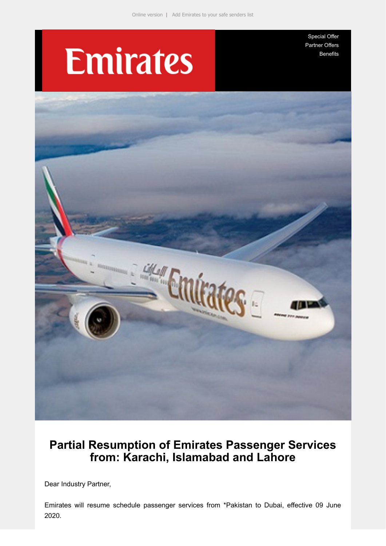# **Emirates**

[Special Offer](https://e.emiratesagents.com/2OIL-11KAJ-2BLHTK-NHE6Z-1/c.aspx) [Partner Offers](https://e.emiratesagents.com/2OIL-11KAJ-2BLHTK-NHE70-1/c.aspx) **[Benefits](https://e.emiratesagents.com/2OIL-11KAJ-2BLHTK-NHE71-1/c.aspx)** 



## **Partial Resumption of Emirates Passenger Services from: Karachi, Islamabad and Lahore**

Dear Industry Partner,

Emirates will resume schedule passenger services from \*Pakistan to Dubai, effective 09 June 2020.